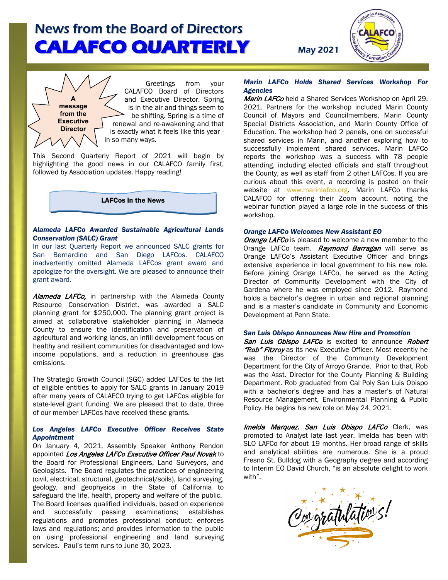

 Greetings from your CALAFCO Board of Directors and Executive Director. Spring is in the air and things seem to be shifting. Spring is a time of renewal and re-awakening and that is exactly what it feels like this year in so many ways.

This Second Quarterly Report of 2021 will begin by highlighting the good news in our CALAFCO family first, followed by Association updates. Happy reading!

**A message from the Executive Director**

LAFCos in the News

### *Alameda LAFCo Awarded Sustainable Agricultural Lands Conservation (SALC) Grant*

In our last Quarterly Report we announced SALC grants for San Bernardino and San Diego LAFCos. CALAFCO inadvertently omitted Alameda LAFCos grant award and apologize for the oversight. We are pleased to announce their grant award*.*

Alameda LAFCo, in partnership with the Alameda County Resource Conservation District, was awarded a SALC planning grant for \$250,000. The planning grant project is aimed at collaborative stakeholder planning in Alameda County to ensure the identification and preservation of agricultural and working lands, an infill development focus on healthy and resilient communities for disadvantaged and lowincome populations, and a reduction in greenhouse gas emissions.

The Strategic Growth Council (SGC) added LAFCos to the list of eligible entities to apply for SALC grants in January 2019 after many years of CALAFCO trying to get LAFCos eligible for state-level grant funding. We are pleased that to date, three of our member LAFCos have received these grants.

### *Los Angeles LAFCo Executive Officer Receives State Appointment*

On January 4, 2021, Assembly Speaker Anthony Rendon appointed Los Angeles LAFCo Executive Officer Paul Novak to the Board for Professional Engineers, Land Surveyors, and Geologists. The Board regulates the practices of engineering (civil, electrical, structural, geotechnical/soils), land surveying, geology, and geophysics in the State of California to safeguard the life, health, property and welfare of the public. The Board licenses qualified individuals, based on experience and successfully passing examinations; establishes regulations and promotes professional conduct; enforces laws and regulations; and provides information to the public on using professional engineering and land surveying services. Paul's term runs to June 30, 2023.

### *Marin LAFCo Holds Shared Services Workshop For Agencies*

Marin LAFCo held a Shared Services Workshop on April 29. 2021. Partners for the workshop included Marin County Council of Mayors and Councilmembers, Marin County Special Districts Association, and Marin County Office of Education. The workshop had 2 panels, one on successful shared services in Marin, and another exploring how to successfully implement shared services. Marin LAFCo reports the workshop was a success with 78 people attending, including elected officials and staff throughout the County, as well as staff from 2 other LAFCos. If you are curious about this event, a recording is posted on their website at [www.marinlafco.org.](http://www.marinlafco.org/) Marin LAFCo thanks CALAFCO for offering their Zoom account, noting the webinar function played a large role in the success of this workshop.

### *Orange LAFCo Welcomes New Assistant EO*

**Orange LAFCo** is pleased to welcome a new member to the Orange LAFCo team. Raymond Barragan will serve as Orange LAFCo's Assistant Executive Officer and brings extensive experience in local government to his new role. Before joining Orange LAFCo, he served as the Acting Director of Community Development with the City of Gardena where he was employed since 2012. Raymond holds a bachelor's degree in urban and regional planning and is a master's candidate in Community and Economic Development at Penn State.

#### *San Luis Obispo Announces New Hire and Promotion*

San Luis Obispo LAFCo is excited to announce Robert "Rob" Fitzroy as its new Executive Officer. Most recently he was the Director of the Community Development Department for the City of Arroyo Grande. Prior to that, Rob was the Asst. Director for the County Planning & Building Department. Rob graduated from Cal Poly San Luis Obispo with a bachelor's degree and has a master's of Natural Resource Management, Environmental Planning & Public Policy. He begins his new role on May 24, 2021.

Imelda Marquez, San Luis Obispo LAFCo Clerk, was promoted to Analyst late last year. Imelda has been with SLO LAFCo for about 19 months. Her broad range of skills and analytical abilities are numerous. She is a proud Fresno St. Bulldog with a Geography degree and according to Interim EO David Church, "is an absolute delight to work with".

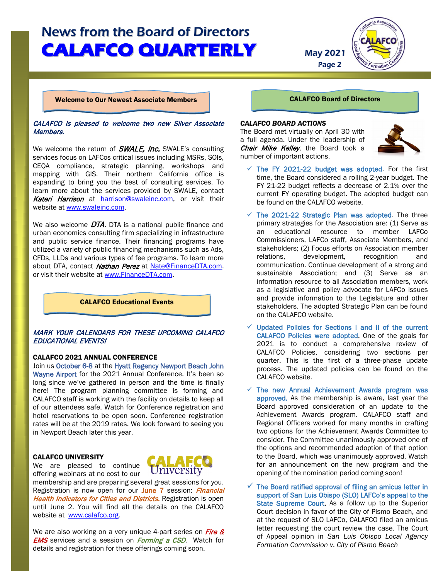Page 2



Welcome to Our Newest Associate Members

### CALAFCO is pleased to welcome two new Silver Associate Members.

We welcome the return of **SWALE, Inc.** SWALE's consulting services focus on LAFCos critical issues including MSRs, SOIs, CEQA compliance, strategic planning, workshops and mapping with GIS. Their northern California office is expanding to bring you the best of consulting services. To learn more about the services provided by SWALE, contact Kateri Harrison at [harrison@swaleinc.com,](mailto:harrison@swaleinc.com) or visit their website at [www.swaleinc.com.](http://www.swaleinc.com/)

We also welcome **DTA**. DTA is a national public finance and urban economics consulting firm specializing in infrastructure and public service finance. Their financing programs have utilized a variety of public financing mechanisms such as Ads, CFDs, LLDs and various types of fee programs. To learn more about DTA, contact Nathan Perez at [Nate@FinanceDTA.com,](mailto:Nate@FinanceDTA.com) or visit their website at [www.FinanceDTA.com.](http://www.financedta.com/)

CALAFCO Educational Events

## MARK YOUR CALENDARS FOR THESE UPCOMING CALAFCO EDUCATIONAL EVENTS!

### CALAFCO 2021 ANNUAL CONFERENCE

Join us October 6-8 at the Hyatt Regency Newport Beach John Wayne Airport for the 2021 Annual Conference. It's been so long since we've gathered in person and the time is finally here! The program planning committee is forming and CALAFCO staff is working with the facility on details to keep all of our attendees safe. Watch for Conference registration and hotel reservations to be open soon. Conference registration rates will be at the 2019 rates. We look forward to seeing you in Newport Beach later this year.

### CALAFCO UNIVERSITY



We are pleased to continue offering webinars at no cost to our

membership and are preparing several great sessions for you. Registration is now open for our June 7 session: Financial Health Indicators for Cities and Districts. Registration is open until June 2. You will find all the details on the CALAFCO website at [www.calafco.org.](http://www.calafco.org/)

We are also working on a very unique 4-part series on Fire & **EMS** services and a session on Forming a CSD. Watch for details and registration for these offerings coming soon.

#### CALAFCO Board of Directors

#### *CALAFCO BOARD ACTIONS*

The Board met virtually on April 30 with a full agenda. Under the leadership of Chair Mike Kelley, the Board took a number of important actions.



- $\checkmark$  The FY 2021-22 budget was adopted. For the first time, the Board considered a rolling 2-year budget. The FY 21-22 budget reflects a decrease of 2.1% over the current FY operating budget. The adopted budget can be found on the CALAFCO website.
- $\checkmark$  The 2021-22 Strategic Plan was adopted. The three primary strategies for the Association are: (1) Serve as an educational resource to member LAFCo Commissioners, LAFCo staff, Associate Members, and stakeholders; (2) Focus efforts on Association member relations, development, recognition and communication. Continue development of a strong and sustainable Association; and (3) Serve as an information resource to all Association members, work as a legislative and policy advocate for LAFCo issues and provide information to the Legislature and other stakeholders. The adopted Strategic Plan can be found on the CALAFCO website.
- $\sqrt{ }$  Updated Policies for Sections I and II of the current CALAFCO Policies were adopted. One of the goals for 2021 is to conduct a comprehensive review of CALAFCO Policies, considering two sections per quarter. This is the first of a three-phase update process. The updated policies can be found on the CALAFCO website.
- $\checkmark$  The new Annual Achievement Awards program was approved. As the membership is aware, last year the Board approved consideration of an update to the Achievement Awards program. CALAFCO staff and Regional Officers worked for many months in crafting two options for the Achievement Awards Committee to consider. The Committee unanimously approved one of the options and recommended adoption of that option to the Board, which was unanimously approved. Watch for an announcement on the new program and the opening of the nomination period coming soon!
- The Board ratified approval of filing an amicus letter in support of San Luis Obispo (SLO) LAFCo's appeal to the State Supreme Court. As a follow up to the Superior Court decision in favor of the City of Pismo Beach, and at the request of SLO LAFCo, CALAFCO filed an amicus letter requesting the court review the case. The Court of Appeal opinion in *San Luis Obispo Local Agency Formation Commission v. City of Pismo Beach*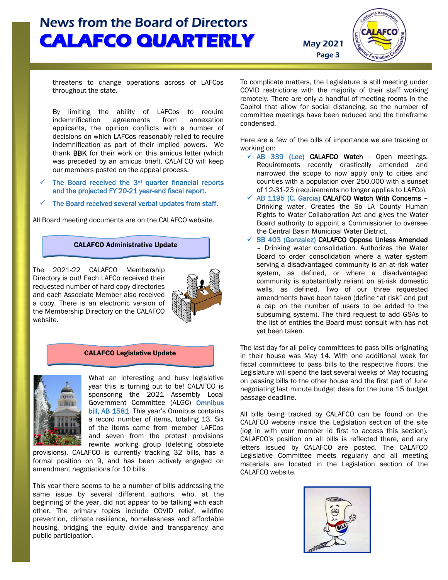Page 3



threatens to change operations across of LAFCos throughout the state.

By limiting the ability of LAFCos to require<br>indemnification agreements from annexation indemnification agreements from annexation applicants, the opinion conflicts with a number of decisions on which LAFCos reasonably relied to require indemnification as part of their implied powers. We thank BBK for their work on this amicus letter (which was preceded by an amicus brief). CALAFCO will keep our members posted on the appeal process.

- The Board received the 3<sup>rd</sup> quarter financial reports and the projected FY 20-21 year-end fiscal report.
- The Board received several verbal updates from staff.

All Board meeting documents are on the CALAFCO website.

## CALAFCO Administrative Update

The 2021-22 CALAFCO Membership Directory is out! Each LAFCo received their requested number of hard copy directories and each Associate Member also received a copy. There is an electronic version of the Membership Directory on the CALAFCO website.



#### CALAFCO Legislative Update



What an interesting and busy legislative year this is turning out to be! CALAFCO is sponsoring the 2021 Assembly Local Government Committee (ALGC) Omnibus bill, AB 1581. This year's Omnibus contains a record number of items, totaling 13. Six of the items came from member LAFCos and seven from the protest provisions rewrite working group (deleting obsolete

provisions). CALAFCO is currently tracking 32 bills, has a formal position on 9, and has been actively engaged on amendment negotiations for 10 bills.

This year there seems to be a number of bills addressing the same issue by several different authors, who, at the beginning of the year, did not appear to be talking with each other. The primary topics include COVID relief, wildfire prevention, climate resilience, homelessness and affordable housing, bridging the equity divide and transparency and public participation.

To complicate matters, the Legislature is still meeting under COVID restrictions with the majority of their staff working remotely. There are only a handful of meeting rooms in the Capitol that allow for social distancing, so the number of committee meetings have been reduced and the timeframe condensed.

Here are a few of the bills of importance we are tracking or working on:

- $\times$  AB 339 (Lee) CALAFCO Watch Open meetings. Requirements recently drastically amended and narrowed the scope to now apply only to cities and counties with a population over 250,000 with a sunset of 12-31-23 (requirements no longer applies to LAFCo).
- $\checkmark$  AB 1195 (C. Garcia) CALAFCO Watch With Concerns -Drinking water. Creates the So LA County Human Rights to Water Collaboration Act and gives the Water Board authority to appoint a Commissioner to oversee the Central Basin Municipal Water District.
- $\checkmark$  SB 403 (Gonzalez) CALAFCO Oppose Unless Amended – Drinking water consolidation. Authorizes the Water Board to order consolidation where a water system serving a disadvantaged community is an at-risk water system, as defined, or where a disadvantaged community is substantially reliant on at-risk domestic wells, as defined. Two of our three requested amendments have been taken (define "at risk" and put a cap on the number of users to be added to the subsuming system). The third request to add GSAs to the list of entities the Board must consult with has not yet been taken.

The last day for all policy committees to pass bills originating in their house was May 14. With one additional week for fiscal committees to pass bills to the respective floors, the Legislature will spend the last several weeks of May focusing on passing bills to the other house and the first part of June negotiating last minute budget deals for the June 15 budget passage deadline.

All bills being tracked by CALAFCO can be found on the CALAFCO website inside the Legislation section of the site (log in with your member id first to access this section). CALAFCO's position on all bills is reflected there, and any letters issued by CALAFCO are posted. The CALAFCO Legislative Committee meets regularly and all meeting materials are located in the Legislation section of the CALAFCO website.